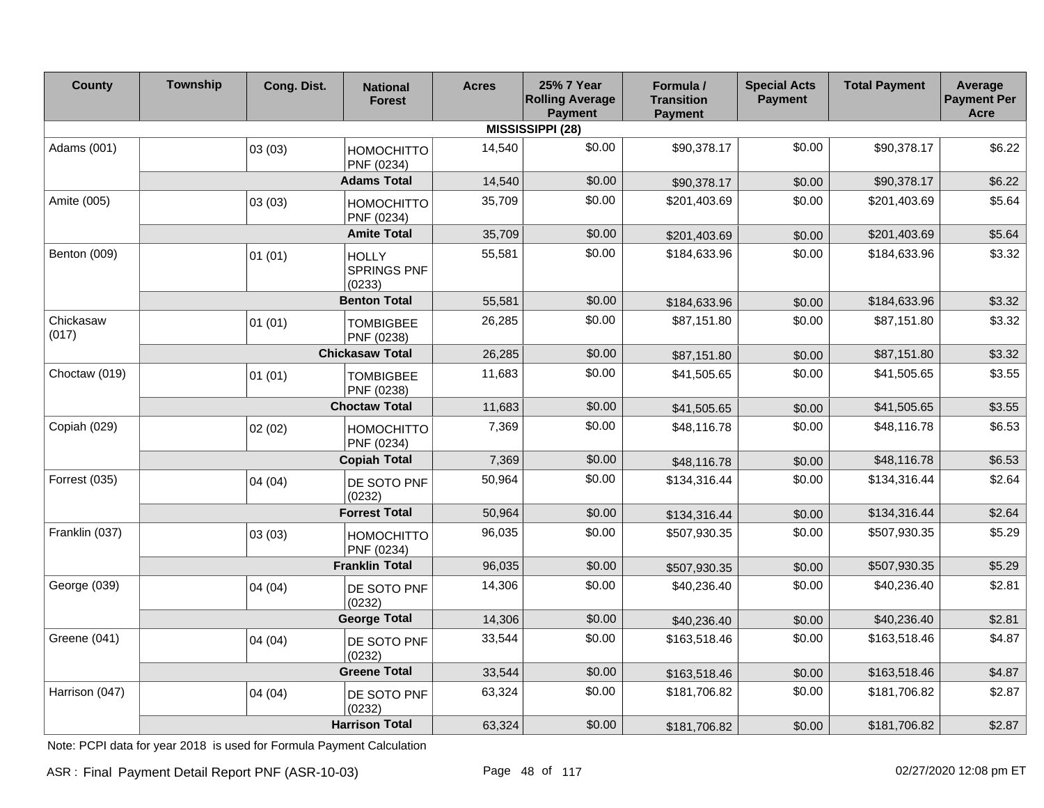| <b>County</b>           | <b>Township</b>        | Cong. Dist. | <b>National</b><br><b>Forest</b>             | <b>Acres</b> | 25% 7 Year<br><b>Rolling Average</b><br><b>Payment</b> | Formula /<br><b>Transition</b><br><b>Payment</b> | <b>Special Acts</b><br><b>Payment</b> | <b>Total Payment</b> | Average<br><b>Payment Per</b><br><b>Acre</b> |  |  |
|-------------------------|------------------------|-------------|----------------------------------------------|--------------|--------------------------------------------------------|--------------------------------------------------|---------------------------------------|----------------------|----------------------------------------------|--|--|
| <b>MISSISSIPPI (28)</b> |                        |             |                                              |              |                                                        |                                                  |                                       |                      |                                              |  |  |
| Adams (001)             |                        | 03(03)      | <b>HOMOCHITTO</b><br>PNF (0234)              | 14,540       | \$0.00                                                 | \$90,378.17                                      | \$0.00                                | \$90,378.17          | \$6.22                                       |  |  |
|                         |                        |             | <b>Adams Total</b>                           | 14,540       | \$0.00                                                 | \$90,378.17                                      | \$0.00                                | \$90,378.17          | \$6.22                                       |  |  |
| Amite (005)             |                        | 03(03)      | <b>HOMOCHITTO</b><br>PNF (0234)              | 35,709       | \$0.00                                                 | \$201,403.69                                     | \$0.00                                | \$201,403.69         | \$5.64                                       |  |  |
|                         | <b>Amite Total</b>     |             |                                              | 35,709       | \$0.00                                                 | \$201,403.69                                     | \$0.00                                | \$201,403.69         | \$5.64                                       |  |  |
| Benton (009)            |                        | 01(01)      | <b>HOLLY</b><br><b>SPRINGS PNF</b><br>(0233) | 55,581       | \$0.00                                                 | \$184,633.96                                     | \$0.00                                | \$184,633.96         | \$3.32                                       |  |  |
|                         |                        |             | <b>Benton Total</b>                          | 55,581       | \$0.00                                                 | \$184,633.96                                     | \$0.00                                | \$184,633.96         | \$3.32                                       |  |  |
| Chickasaw<br>(017)      |                        | 01(01)      | <b>TOMBIGBEE</b><br>PNF (0238)               | 26,285       | \$0.00                                                 | \$87,151.80                                      | \$0.00                                | \$87,151.80          | \$3.32                                       |  |  |
|                         | <b>Chickasaw Total</b> |             |                                              | 26,285       | \$0.00                                                 | \$87,151.80                                      | \$0.00                                | \$87,151.80          | \$3.32                                       |  |  |
| Choctaw (019)           |                        | 01(01)      | <b>TOMBIGBEE</b><br>PNF (0238)               | 11,683       | \$0.00                                                 | \$41,505.65                                      | \$0.00                                | \$41,505.65          | \$3.55                                       |  |  |
|                         | <b>Choctaw Total</b>   |             |                                              | 11,683       | \$0.00                                                 | \$41,505.65                                      | \$0.00                                | \$41,505.65          | \$3.55                                       |  |  |
| Copiah (029)            |                        | 02(02)      | <b>HOMOCHITTO</b><br>PNF (0234)              | 7,369        | \$0.00                                                 | \$48,116.78                                      | \$0.00                                | \$48,116.78          | \$6.53                                       |  |  |
|                         | <b>Copiah Total</b>    |             |                                              | 7,369        | \$0.00                                                 | \$48,116.78                                      | \$0.00                                | \$48,116.78          | \$6.53                                       |  |  |
| Forrest (035)           |                        | 04(04)      | DE SOTO PNF<br>(0232)                        | 50,964       | \$0.00                                                 | \$134,316.44                                     | \$0.00                                | \$134,316.44         | \$2.64                                       |  |  |
|                         | <b>Forrest Total</b>   |             |                                              | 50,964       | \$0.00                                                 | \$134,316.44                                     | \$0.00                                | \$134,316.44         | \$2.64                                       |  |  |
| Franklin (037)          |                        | 03(03)      | <b>HOMOCHITTO</b><br>PNF (0234)              | 96,035       | \$0.00                                                 | \$507,930.35                                     | \$0.00                                | \$507,930.35         | \$5.29                                       |  |  |
|                         |                        |             | <b>Franklin Total</b>                        | 96,035       | \$0.00                                                 | \$507,930.35                                     | \$0.00                                | \$507,930.35         | \$5.29                                       |  |  |
| George (039)            |                        | 04(04)      | DE SOTO PNF<br>(0232)                        | 14,306       | \$0.00                                                 | \$40,236.40                                      | \$0.00                                | \$40,236.40          | \$2.81                                       |  |  |
|                         |                        |             | <b>George Total</b>                          | 14,306       | \$0.00                                                 | \$40,236.40                                      | \$0.00                                | \$40,236.40          | \$2.81                                       |  |  |
| Greene (041)            |                        | 04(04)      | DE SOTO PNF<br>(0232)                        | 33,544       | \$0.00                                                 | \$163,518.46                                     | \$0.00                                | \$163,518.46         | \$4.87                                       |  |  |
|                         |                        |             | <b>Greene Total</b>                          | 33,544       | \$0.00                                                 | \$163,518.46                                     | \$0.00                                | \$163,518.46         | \$4.87                                       |  |  |
| Harrison (047)          |                        | 04(04)      | DE SOTO PNF<br>(0232)                        | 63,324       | \$0.00                                                 | \$181,706.82                                     | \$0.00                                | \$181,706.82         | \$2.87                                       |  |  |
|                         |                        |             | <b>Harrison Total</b>                        | 63,324       | \$0.00                                                 | \$181,706.82                                     | \$0.00                                | \$181,706.82         | \$2.87                                       |  |  |

Note: PCPI data for year 2018 is used for Formula Payment Calculation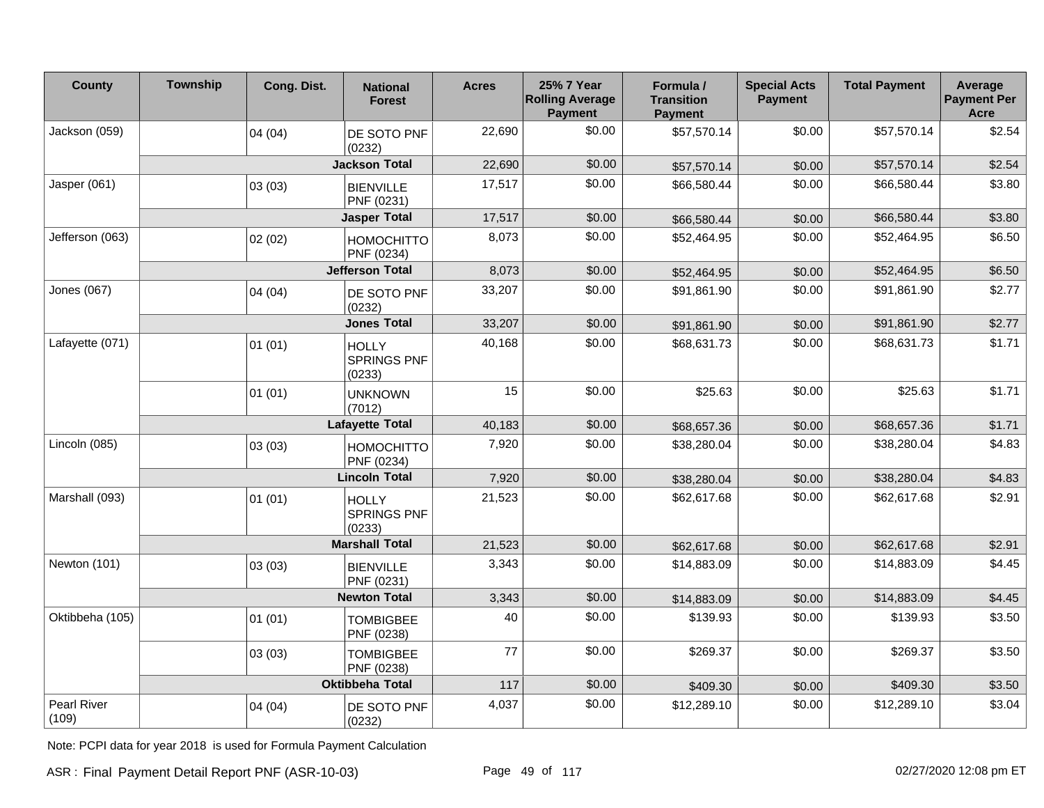| <b>County</b>               | Township               | Cong. Dist. | <b>National</b><br><b>Forest</b>             | <b>Acres</b> | 25% 7 Year<br><b>Rolling Average</b><br><b>Payment</b> | Formula /<br><b>Transition</b><br><b>Payment</b> | <b>Special Acts</b><br><b>Payment</b> | <b>Total Payment</b> | Average<br><b>Payment Per</b><br><b>Acre</b> |
|-----------------------------|------------------------|-------------|----------------------------------------------|--------------|--------------------------------------------------------|--------------------------------------------------|---------------------------------------|----------------------|----------------------------------------------|
| Jackson (059)               |                        | 04(04)      | DE SOTO PNF<br>(0232)                        | 22,690       | \$0.00                                                 | \$57,570.14                                      | \$0.00                                | \$57,570.14          | \$2.54                                       |
|                             | <b>Jackson Total</b>   |             |                                              | 22,690       | \$0.00                                                 | \$57,570.14                                      | \$0.00                                | \$57,570.14          | \$2.54                                       |
| Jasper (061)                |                        | 03(03)      | <b>BIENVILLE</b><br>PNF (0231)               | 17,517       | \$0.00                                                 | \$66,580.44                                      | \$0.00                                | \$66,580.44          | \$3.80                                       |
|                             | <b>Jasper Total</b>    |             |                                              | 17,517       | \$0.00                                                 | \$66,580.44                                      | \$0.00                                | \$66,580.44          | \$3.80                                       |
| Jefferson (063)             |                        | 02(02)      | <b>HOMOCHITTO</b><br>PNF (0234)              | 8,073        | \$0.00                                                 | \$52,464.95                                      | \$0.00                                | \$52,464.95          | \$6.50                                       |
|                             |                        |             | <b>Jefferson Total</b>                       | 8,073        | \$0.00                                                 | \$52,464.95                                      | \$0.00                                | \$52,464.95          | \$6.50                                       |
| Jones (067)                 |                        | 04(04)      | DE SOTO PNF<br>(0232)                        | 33,207       | \$0.00                                                 | \$91,861.90                                      | \$0.00                                | \$91,861.90          | \$2.77                                       |
|                             |                        |             | <b>Jones Total</b>                           | 33,207       | \$0.00                                                 | \$91,861.90                                      | \$0.00                                | \$91,861.90          | \$2.77                                       |
| Lafayette (071)             |                        | 01(01)      | <b>HOLLY</b><br><b>SPRINGS PNF</b><br>(0233) | 40,168       | \$0.00                                                 | \$68,631.73                                      | \$0.00                                | \$68,631.73          | \$1.71                                       |
|                             |                        | 01(01)      | <b>UNKNOWN</b><br>(7012)                     | 15           | \$0.00                                                 | \$25.63                                          | \$0.00                                | \$25.63              | \$1.71                                       |
|                             | <b>Lafayette Total</b> |             |                                              | 40,183       | \$0.00                                                 | \$68,657.36                                      | \$0.00                                | \$68,657.36          | \$1.71                                       |
| Lincoln (085)               |                        | 03(03)      | <b>HOMOCHITTO</b><br>PNF (0234)              | 7,920        | \$0.00                                                 | \$38,280.04                                      | \$0.00                                | \$38,280.04          | \$4.83                                       |
|                             |                        |             | <b>Lincoln Total</b>                         | 7,920        | \$0.00                                                 | \$38,280.04                                      | \$0.00                                | \$38,280.04          | \$4.83                                       |
| Marshall (093)              |                        | 01(01)      | <b>HOLLY</b><br><b>SPRINGS PNF</b><br>(0233) | 21,523       | \$0.00                                                 | \$62,617.68                                      | \$0.00                                | \$62,617.68          | \$2.91                                       |
|                             |                        |             | <b>Marshall Total</b>                        | 21,523       | \$0.00                                                 | \$62,617.68                                      | \$0.00                                | \$62,617.68          | \$2.91                                       |
| Newton (101)                |                        | 03(03)      | <b>BIENVILLE</b><br>PNF (0231)               | 3,343        | \$0.00                                                 | \$14,883.09                                      | \$0.00                                | \$14,883.09          | \$4.45                                       |
|                             | <b>Newton Total</b>    |             |                                              | 3,343        | \$0.00                                                 | \$14,883.09                                      | \$0.00                                | \$14,883.09          | \$4.45                                       |
| Oktibbeha (105)             |                        | 01(01)      | <b>TOMBIGBEE</b><br>PNF (0238)               | 40           | \$0.00                                                 | \$139.93                                         | \$0.00                                | \$139.93             | \$3.50                                       |
|                             |                        | 03(03)      | <b>TOMBIGBEE</b><br>PNF (0238)               | 77           | \$0.00                                                 | \$269.37                                         | \$0.00                                | \$269.37             | \$3.50                                       |
|                             | <b>Oktibbeha Total</b> |             |                                              | 117          | \$0.00                                                 | \$409.30                                         | \$0.00                                | \$409.30             | \$3.50                                       |
| <b>Pearl River</b><br>(109) |                        | 04(04)      | DE SOTO PNF<br>(0232)                        | 4,037        | \$0.00                                                 | \$12,289.10                                      | \$0.00                                | \$12,289.10          | \$3.04                                       |

Note: PCPI data for year 2018 is used for Formula Payment Calculation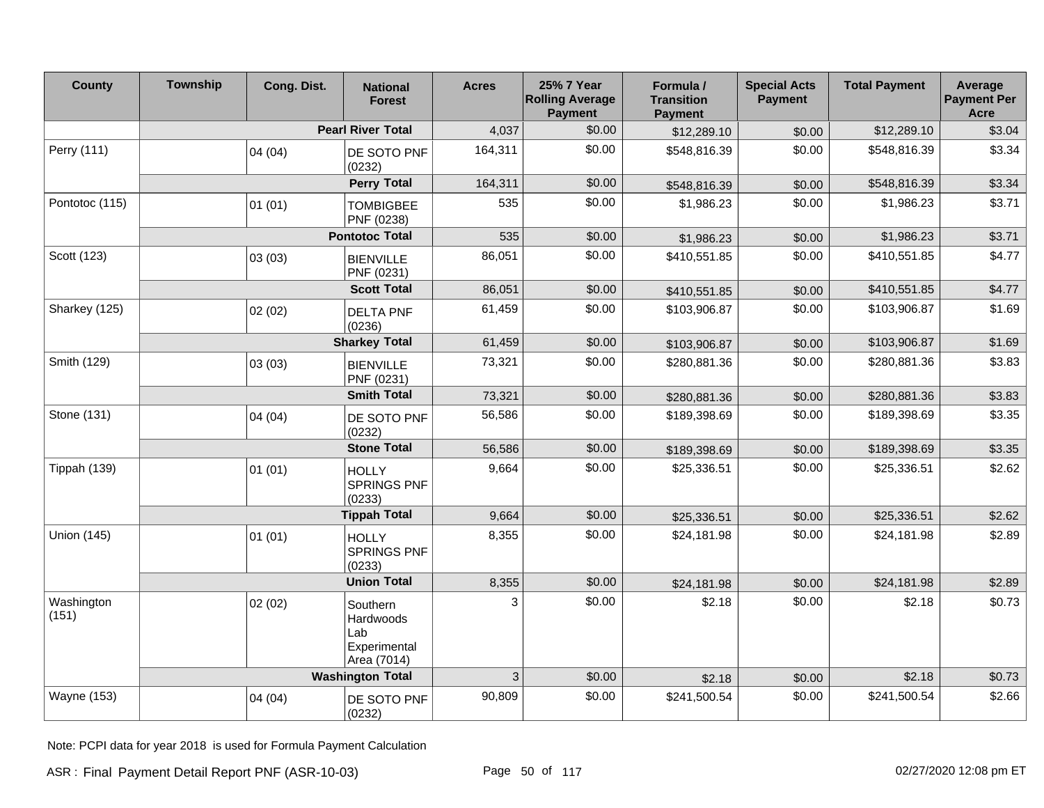| <b>County</b>                | <b>Township</b>       | Cong. Dist. | <b>National</b><br><b>Forest</b>                            | <b>Acres</b>   | 25% 7 Year<br><b>Rolling Average</b><br><b>Payment</b> | Formula /<br><b>Transition</b><br><b>Payment</b> | <b>Special Acts</b><br><b>Payment</b> | <b>Total Payment</b> | Average<br><b>Payment Per</b><br>Acre |
|------------------------------|-----------------------|-------------|-------------------------------------------------------------|----------------|--------------------------------------------------------|--------------------------------------------------|---------------------------------------|----------------------|---------------------------------------|
|                              |                       |             | <b>Pearl River Total</b>                                    | 4,037          | \$0.00                                                 | \$12,289.10                                      | \$0.00                                | \$12,289.10          | \$3.04                                |
| Perry (111)                  |                       | 04(04)      | DE SOTO PNF<br>(0232)                                       | 164,311        | \$0.00                                                 | \$548,816.39                                     | \$0.00                                | \$548,816.39         | \$3.34                                |
|                              |                       |             | <b>Perry Total</b>                                          | 164,311        | \$0.00                                                 | \$548,816.39                                     | \$0.00                                | \$548,816.39         | \$3.34                                |
| Pontotoc (115)               |                       | 01(01)      | <b>TOMBIGBEE</b><br>PNF (0238)                              | 535            | \$0.00                                                 | \$1.986.23                                       | \$0.00                                | \$1,986.23           | \$3.71                                |
|                              | <b>Pontotoc Total</b> |             |                                                             | 535            | \$0.00                                                 | \$1,986.23                                       | \$0.00                                | \$1,986.23           | \$3.71                                |
| Scott (123)<br>Sharkey (125) |                       | 03(03)      | <b>BIENVILLE</b><br>PNF (0231)                              | 86,051         | \$0.00                                                 | \$410,551.85                                     | \$0.00                                | \$410,551.85         | \$4.77                                |
|                              |                       |             | <b>Scott Total</b>                                          | 86,051         | \$0.00                                                 | \$410,551.85                                     | \$0.00                                | \$410,551.85         | \$4.77                                |
|                              |                       | 02(02)      | <b>DELTA PNF</b><br>(0236)                                  | 61,459         | \$0.00                                                 | \$103,906.87                                     | \$0.00                                | \$103,906.87         | \$1.69                                |
|                              |                       |             | <b>Sharkey Total</b>                                        | 61,459         | \$0.00                                                 | \$103,906.87                                     | \$0.00                                | \$103,906.87         | \$1.69                                |
| Smith (129)                  |                       | 03(03)      | <b>BIENVILLE</b><br>PNF (0231)                              | 73,321         | \$0.00                                                 | \$280,881.36                                     | \$0.00                                | \$280,881.36         | \$3.83                                |
|                              |                       |             | <b>Smith Total</b>                                          | 73,321         | \$0.00                                                 | \$280,881.36                                     | \$0.00                                | \$280,881.36         | \$3.83                                |
| Stone (131)                  |                       | 04(04)      | DE SOTO PNF<br>(0232)                                       | 56,586         | \$0.00                                                 | \$189,398.69                                     | \$0.00                                | \$189,398.69         | \$3.35                                |
|                              |                       |             | <b>Stone Total</b>                                          | 56,586         | \$0.00                                                 | \$189,398.69                                     | \$0.00                                | \$189,398.69         | \$3.35                                |
| Tippah (139)                 |                       | 01(01)      | <b>HOLLY</b><br><b>SPRINGS PNF</b><br>(0233)                | 9,664          | \$0.00                                                 | \$25,336.51                                      | \$0.00                                | \$25,336.51          | \$2.62                                |
|                              |                       |             | <b>Tippah Total</b>                                         | 9,664          | \$0.00                                                 | \$25,336.51                                      | \$0.00                                | \$25,336.51          | \$2.62                                |
| <b>Union (145)</b>           |                       | 01(01)      | <b>HOLLY</b><br><b>SPRINGS PNF</b><br>(0233)                | 8,355          | \$0.00                                                 | \$24,181.98                                      | \$0.00                                | \$24,181.98          | \$2.89                                |
|                              |                       |             | <b>Union Total</b>                                          | 8,355          | \$0.00                                                 | \$24,181.98                                      | \$0.00                                | \$24,181.98          | \$2.89                                |
| Washington<br>(151)          |                       | 02(02)      | Southern<br>Hardwoods<br>Lab<br>Experimental<br>Area (7014) | 3              | \$0.00                                                 | \$2.18                                           | \$0.00                                | \$2.18               | \$0.73                                |
|                              |                       |             | <b>Washington Total</b>                                     | $\overline{3}$ | \$0.00                                                 | \$2.18                                           | \$0.00                                | \$2.18               | \$0.73                                |
| <b>Wayne (153)</b>           |                       | 04(04)      | DE SOTO PNF<br>(0232)                                       | 90,809         | \$0.00                                                 | \$241,500.54                                     | \$0.00                                | \$241,500.54         | \$2.66                                |

Note: PCPI data for year 2018 is used for Formula Payment Calculation